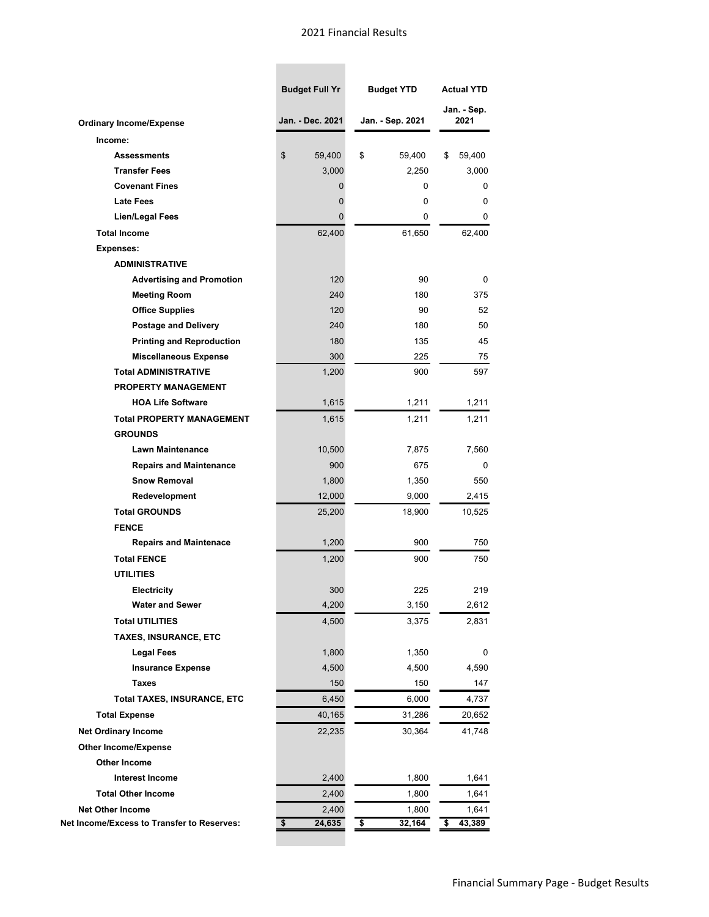## 2021 Financial Results

**Contract Contract** 

|                                            | <b>Budget Full Yr</b> | <b>Budget YTD</b> | <b>Actual YTD</b><br>Jan. - Sep.<br>2021 |  |
|--------------------------------------------|-----------------------|-------------------|------------------------------------------|--|
|                                            |                       |                   |                                          |  |
| <b>Ordinary Income/Expense</b>             | Jan. - Dec. 2021      | Jan. - Sep. 2021  |                                          |  |
| Income:                                    |                       |                   |                                          |  |
| <b>Assessments</b>                         | \$<br>59,400          | \$<br>59,400      | \$<br>59,400                             |  |
| <b>Transfer Fees</b>                       | 3,000                 | 2,250             | 3,000                                    |  |
| <b>Covenant Fines</b>                      | 0                     | 0                 | 0                                        |  |
| <b>Late Fees</b>                           | 0                     | 0                 | 0                                        |  |
| <b>Lien/Legal Fees</b>                     | 0                     | 0                 | 0                                        |  |
| <b>Total Income</b>                        | 62,400                | 61,650            | 62,400                                   |  |
| <b>Expenses:</b>                           |                       |                   |                                          |  |
| <b>ADMINISTRATIVE</b>                      |                       |                   |                                          |  |
| <b>Advertising and Promotion</b>           | 120                   | 90                | 0                                        |  |
| <b>Meeting Room</b>                        | 240                   | 180               | 375                                      |  |
| <b>Office Supplies</b>                     | 120                   | 90                | 52                                       |  |
| <b>Postage and Delivery</b>                | 240                   | 180               | 50                                       |  |
| <b>Printing and Reproduction</b>           | 180                   | 135               | 45                                       |  |
| <b>Miscellaneous Expense</b>               | 300                   | 225               | 75                                       |  |
| <b>Total ADMINISTRATIVE</b>                | 1,200                 | 900               | 597                                      |  |
| <b>PROPERTY MANAGEMENT</b>                 |                       |                   |                                          |  |
| <b>HOA Life Software</b>                   | 1,615                 | 1,211             | 1,211                                    |  |
| <b>Total PROPERTY MANAGEMENT</b>           | 1,615                 | 1,211             | 1,211                                    |  |
| <b>GROUNDS</b>                             |                       |                   |                                          |  |
| <b>Lawn Maintenance</b>                    | 10,500                | 7,875             | 7,560                                    |  |
| <b>Repairs and Maintenance</b>             | 900                   | 675               | 0                                        |  |
| <b>Snow Removal</b>                        | 1,800                 | 1,350             | 550                                      |  |
| Redevelopment                              | 12,000                | 9,000             | 2,415                                    |  |
| <b>Total GROUNDS</b>                       | 25,200                | 18,900            | 10,525                                   |  |
| <b>FENCE</b>                               |                       |                   |                                          |  |
| <b>Repairs and Maintenace</b>              | 1,200                 | 900               | 750                                      |  |
| <b>Total FENCE</b>                         | 1,200                 | 900               | 750                                      |  |
| <b>UTILITIES</b>                           |                       |                   |                                          |  |
| Electricity                                | 300                   | 225               | 219                                      |  |
| <b>Water and Sewer</b>                     | 4,200                 | 3,150             | 2,612                                    |  |
| <b>Total UTILITIES</b>                     | 4,500                 | 3,375             | 2,831                                    |  |
| TAXES, INSURANCE, ETC                      |                       |                   |                                          |  |
| <b>Legal Fees</b>                          | 1,800                 | 1,350             | 0                                        |  |
| <b>Insurance Expense</b>                   | 4,500                 | 4,500             | 4,590                                    |  |
| <b>Taxes</b>                               | 150                   | 150               | 147                                      |  |
| <b>Total TAXES, INSURANCE, ETC</b>         | 6,450                 | 6,000             | 4,737                                    |  |
| <b>Total Expense</b>                       | 40,165                | 31,286            | 20,652                                   |  |
|                                            |                       |                   |                                          |  |
| <b>Net Ordinary Income</b>                 | 22,235                | 30,364            | 41,748                                   |  |
| <b>Other Income/Expense</b>                |                       |                   |                                          |  |
| Other Income                               |                       |                   |                                          |  |
| <b>Interest Income</b>                     | 2,400                 | 1,800             | 1,641                                    |  |
| <b>Total Other Income</b>                  | 2,400                 | 1,800             | 1,641                                    |  |
| <b>Net Other Income</b>                    | 2,400                 | 1,800             | 1,641                                    |  |
| Net Income/Excess to Transfer to Reserves: | 24,635<br>\$          | 32,164<br>\$      | \$<br>43,389                             |  |